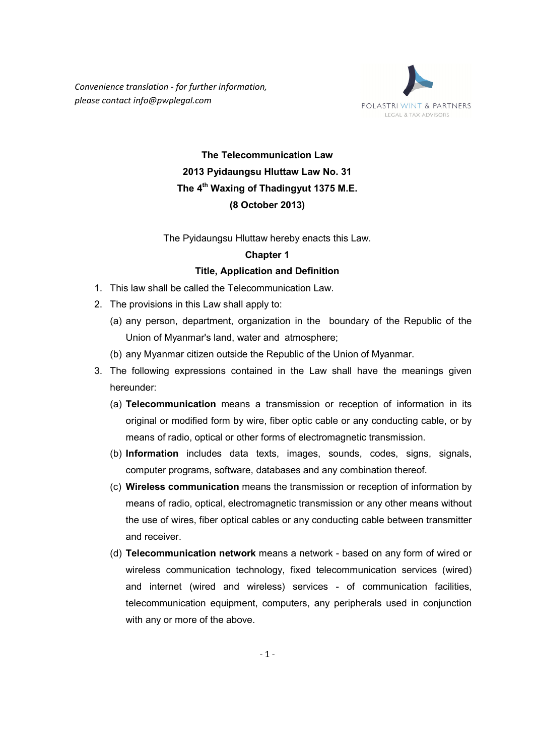*Convenience translation - for further information, please contact info@pwplegal.com* 



# **The Telecommunication Law 2013 Pyidaungsu Hluttaw Law No. 31 The 4th Waxing of Thadingyut 1375 M.E. (8 October 2013)**

The Pyidaungsu Hluttaw hereby enacts this Law.

#### **Chapter 1**

#### **Title, Application and Definition**

- 1. This law shall be called the Telecommunication Law.
- 2. The provisions in this Law shall apply to:
	- (a) any person, department, organization in the boundary of the Republic of the Union of Myanmar's land, water and atmosphere;
	- (b) any Myanmar citizen outside the Republic of the Union of Myanmar.
- 3. The following expressions contained in the Law shall have the meanings given hereunder:
	- (a) **Telecommunication** means a transmission or reception of information in its original or modified form by wire, fiber optic cable or any conducting cable, or by means of radio, optical or other forms of electromagnetic transmission.
	- (b) **Information** includes data texts, images, sounds, codes, signs, signals, computer programs, software, databases and any combination thereof.
	- (c) **Wireless communication** means the transmission or reception of information by means of radio, optical, electromagnetic transmission or any other means without the use of wires, fiber optical cables or any conducting cable between transmitter and receiver.
	- (d) **Telecommunication network** means a network based on any form of wired or wireless communication technology, fixed telecommunication services (wired) and internet (wired and wireless) services - of communication facilities, telecommunication equipment, computers, any peripherals used in conjunction with any or more of the above.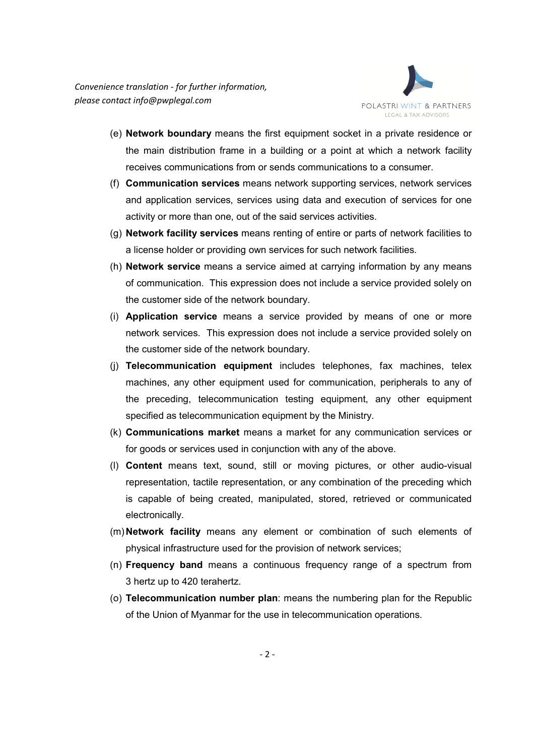

- (e) **Network boundary** means the first equipment socket in a private residence or the main distribution frame in a building or a point at which a network facility receives communications from or sends communications to a consumer.
- (f) **Communication services** means network supporting services, network services and application services, services using data and execution of services for one activity or more than one, out of the said services activities.
- (g) **Network facility services** means renting of entire or parts of network facilities to a license holder or providing own services for such network facilities.
- (h) **Network service** means a service aimed at carrying information by any means of communication. This expression does not include a service provided solely on the customer side of the network boundary.
- (i) **Application service** means a service provided by means of one or more network services. This expression does not include a service provided solely on the customer side of the network boundary.
- (j) **Telecommunication equipment** includes telephones, fax machines, telex machines, any other equipment used for communication, peripherals to any of the preceding, telecommunication testing equipment, any other equipment specified as telecommunication equipment by the Ministry.
- (k) **Communications market** means a market for any communication services or for goods or services used in conjunction with any of the above.
- (l) **Content** means text, sound, still or moving pictures, or other audio-visual representation, tactile representation, or any combination of the preceding which is capable of being created, manipulated, stored, retrieved or communicated electronically.
- (m) **Network facility** means any element or combination of such elements of physical infrastructure used for the provision of network services;
- (n) **Frequency band** means a continuous frequency range of a spectrum from 3 hertz up to 420 terahertz.
- (o) **Telecommunication number plan**: means the numbering plan for the Republic of the Union of Myanmar for the use in telecommunication operations.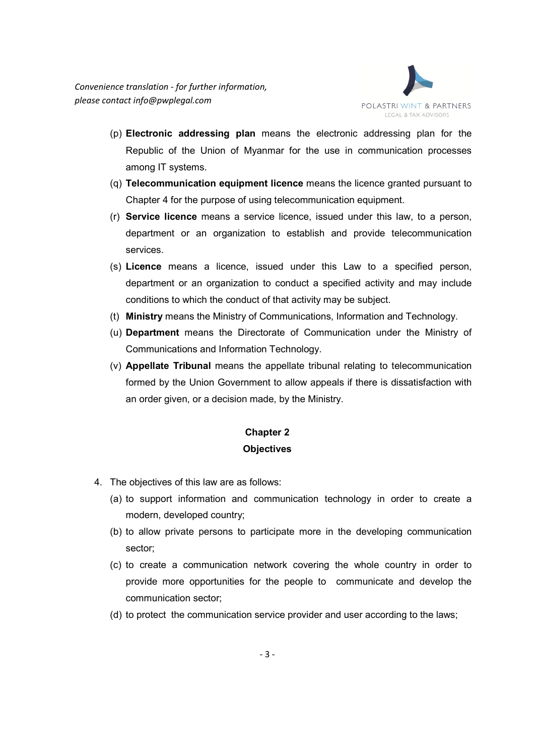

- (p) **Electronic addressing plan** means the electronic addressing plan for the Republic of the Union of Myanmar for the use in communication processes among IT systems.
- (q) **Telecommunication equipment licence** means the licence granted pursuant to Chapter 4 for the purpose of using telecommunication equipment.
- (r) **Service licence** means a service licence, issued under this law, to a person, department or an organization to establish and provide telecommunication services.
- (s) **Licence** means a licence, issued under this Law to a specified person, department or an organization to conduct a specified activity and may include conditions to which the conduct of that activity may be subject.
- (t) **Ministry** means the Ministry of Communications, Information and Technology.
- (u) **Department** means the Directorate of Communication under the Ministry of Communications and Information Technology.
- (v) **Appellate Tribunal** means the appellate tribunal relating to telecommunication formed by the Union Government to allow appeals if there is dissatisfaction with an order given, or a decision made, by the Ministry.

## **Chapter 2 Objectives**

- 4. The objectives of this law are as follows:
	- (a) to support information and communication technology in order to create a modern, developed country;
	- (b) to allow private persons to participate more in the developing communication sector;
	- (c) to create a communication network covering the whole country in order to provide more opportunities for the people to communicate and develop the communication sector;
	- (d) to protect the communication service provider and user according to the laws;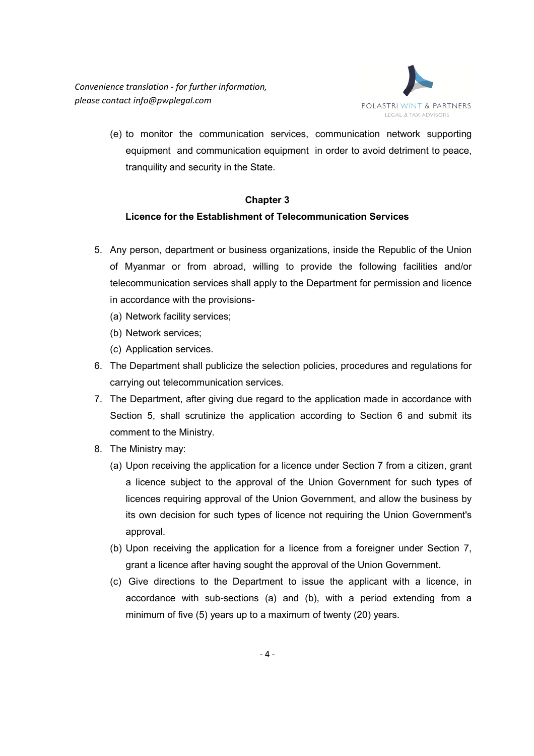

(e) to monitor the communication services, communication network supporting equipment and communication equipment in order to avoid detriment to peace, tranquility and security in the State.

## **Chapter 3**

## **Licence for the Establishment of Telecommunication Services**

- 5. Any person, department or business organizations, inside the Republic of the Union of Myanmar or from abroad, willing to provide the following facilities and/or telecommunication services shall apply to the Department for permission and licence in accordance with the provisions-
	- (a) Network facility services;
	- (b) Network services;
	- (c) Application services.
- 6. The Department shall publicize the selection policies, procedures and regulations for carrying out telecommunication services.
- 7. The Department, after giving due regard to the application made in accordance with Section 5, shall scrutinize the application according to Section 6 and submit its comment to the Ministry.
- 8. The Ministry may:
	- (a) Upon receiving the application for a licence under Section 7 from a citizen, grant a licence subject to the approval of the Union Government for such types of licences requiring approval of the Union Government, and allow the business by its own decision for such types of licence not requiring the Union Government's approval.
	- (b) Upon receiving the application for a licence from a foreigner under Section 7, grant a licence after having sought the approval of the Union Government.
	- (c) Give directions to the Department to issue the applicant with a licence, in accordance with sub-sections (a) and (b), with a period extending from a minimum of five (5) years up to a maximum of twenty (20) years.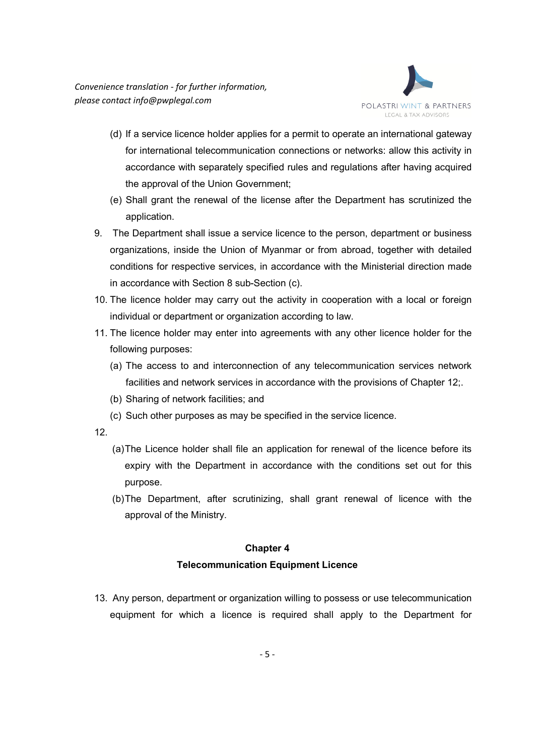

- (d) If a service licence holder applies for a permit to operate an international gateway for international telecommunication connections or networks: allow this activity in accordance with separately specified rules and regulations after having acquired the approval of the Union Government;
- (e) Shall grant the renewal of the license after the Department has scrutinized the application.
- 9. The Department shall issue a service licence to the person, department or business organizations, inside the Union of Myanmar or from abroad, together with detailed conditions for respective services, in accordance with the Ministerial direction made in accordance with Section 8 sub-Section (c).
- 10. The licence holder may carry out the activity in cooperation with a local or foreign individual or department or organization according to law.
- 11. The licence holder may enter into agreements with any other licence holder for the following purposes:
	- (a) The access to and interconnection of any telecommunication services network facilities and network services in accordance with the provisions of Chapter 12;.
	- (b) Sharing of network facilities; and
	- (c) Such other purposes as may be specified in the service licence.
- 12.
- (a) The Licence holder shall file an application for renewal of the licence before its expiry with the Department in accordance with the conditions set out for this purpose.
- (b) The Department, after scrutinizing, shall grant renewal of licence with the approval of the Ministry.

## **Telecommunication Equipment Licence**

13. Any person, department or organization willing to possess or use telecommunication equipment for which a licence is required shall apply to the Department for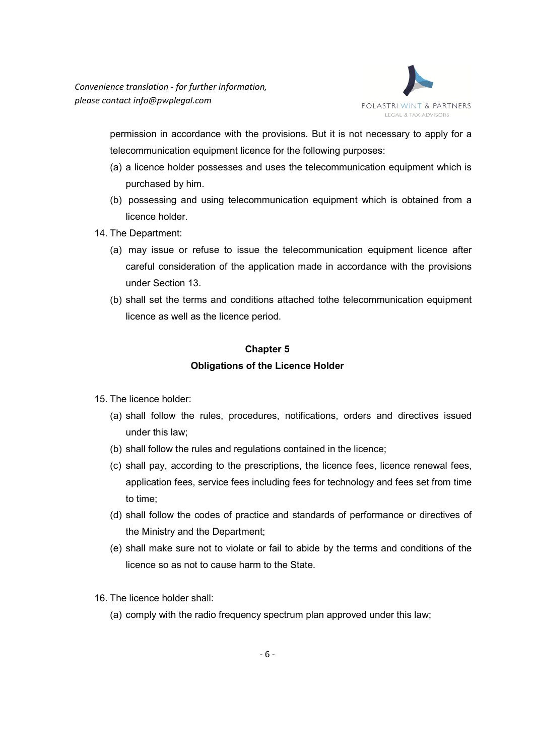

permission in accordance with the provisions. But it is not necessary to apply for a telecommunication equipment licence for the following purposes:

- (a) a licence holder possesses and uses the telecommunication equipment which is purchased by him.
- (b) possessing and using telecommunication equipment which is obtained from a licence holder.
- 14. The Department:
	- (a) may issue or refuse to issue the telecommunication equipment licence after careful consideration of the application made in accordance with the provisions under Section 13.
	- (b) shall set the terms and conditions attached tothe telecommunication equipment licence as well as the licence period.

## **Chapter 5 Obligations of the Licence Holder**

- 15. The licence holder:
	- (a) shall follow the rules, procedures, notifications, orders and directives issued under this law;
	- (b) shall follow the rules and regulations contained in the licence;
	- (c) shall pay, according to the prescriptions, the licence fees, licence renewal fees, application fees, service fees including fees for technology and fees set from time to time;
	- (d) shall follow the codes of practice and standards of performance or directives of the Ministry and the Department;
	- (e) shall make sure not to violate or fail to abide by the terms and conditions of the licence so as not to cause harm to the State.
- 16. The licence holder shall:
	- (a) comply with the radio frequency spectrum plan approved under this law;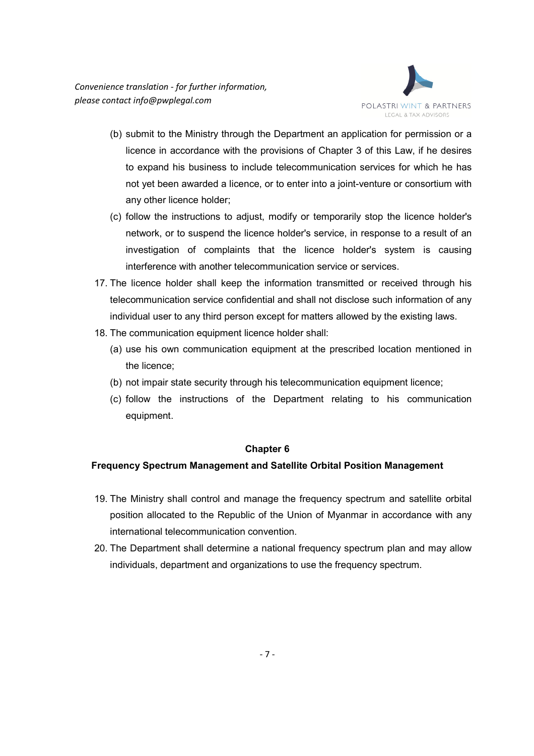

- (b) submit to the Ministry through the Department an application for permission or a licence in accordance with the provisions of Chapter 3 of this Law, if he desires to expand his business to include telecommunication services for which he has not yet been awarded a licence, or to enter into a joint-venture or consortium with any other licence holder;
- (c) follow the instructions to adjust, modify or temporarily stop the licence holder's network, or to suspend the licence holder's service, in response to a result of an investigation of complaints that the licence holder's system is causing interference with another telecommunication service or services.
- 17. The licence holder shall keep the information transmitted or received through his telecommunication service confidential and shall not disclose such information of any individual user to any third person except for matters allowed by the existing laws.
- 18. The communication equipment licence holder shall:
	- (a) use his own communication equipment at the prescribed location mentioned in the licence;
	- (b) not impair state security through his telecommunication equipment licence;
	- (c) follow the instructions of the Department relating to his communication equipment.

## **Frequency Spectrum Management and Satellite Orbital Position Management**

- 19. The Ministry shall control and manage the frequency spectrum and satellite orbital position allocated to the Republic of the Union of Myanmar in accordance with any international telecommunication convention.
- 20. The Department shall determine a national frequency spectrum plan and may allow individuals, department and organizations to use the frequency spectrum.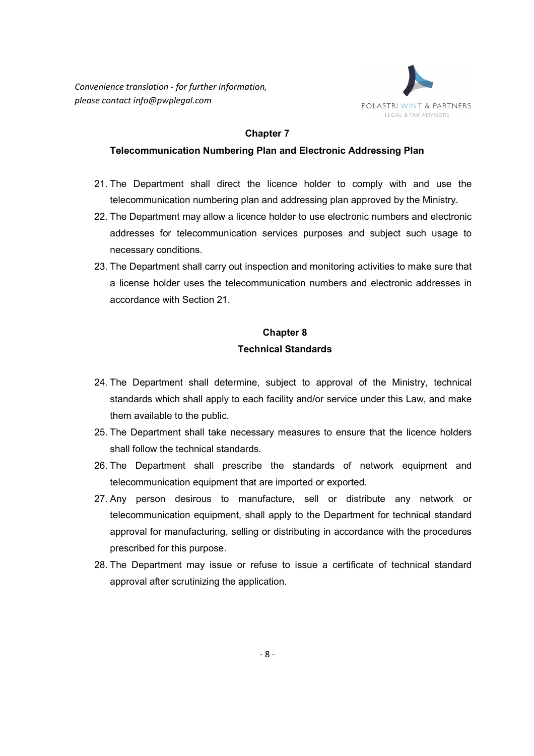

#### **Telecommunication Numbering Plan and Electronic Addressing Plan**

- 21. The Department shall direct the licence holder to comply with and use the telecommunication numbering plan and addressing plan approved by the Ministry.
- 22. The Department may allow a licence holder to use electronic numbers and electronic addresses for telecommunication services purposes and subject such usage to necessary conditions.
- 23. The Department shall carry out inspection and monitoring activities to make sure that a license holder uses the telecommunication numbers and electronic addresses in accordance with Section 21.

## **Chapter 8 Technical Standards**

- 24. The Department shall determine, subject to approval of the Ministry, technical standards which shall apply to each facility and/or service under this Law, and make them available to the public.
- 25. The Department shall take necessary measures to ensure that the licence holders shall follow the technical standards.
- 26. The Department shall prescribe the standards of network equipment and telecommunication equipment that are imported or exported.
- 27. Any person desirous to manufacture, sell or distribute any network or telecommunication equipment, shall apply to the Department for technical standard approval for manufacturing, selling or distributing in accordance with the procedures prescribed for this purpose.
- 28. The Department may issue or refuse to issue a certificate of technical standard approval after scrutinizing the application.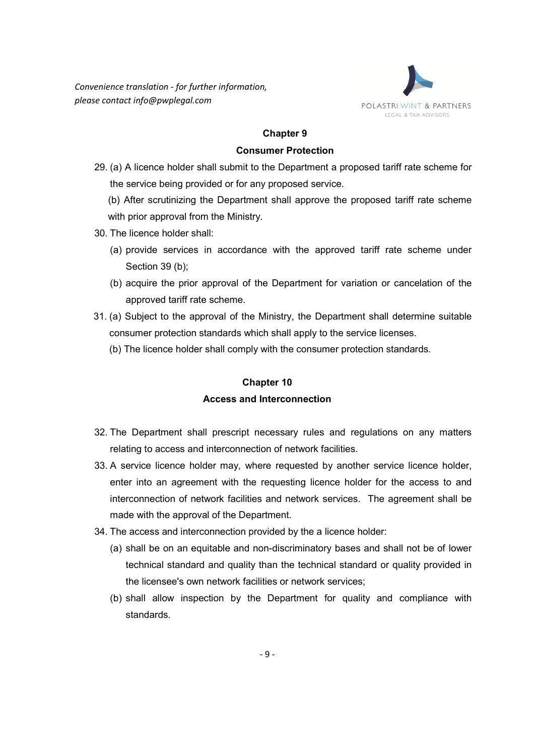

#### **Consumer Protection**

29. (a) A licence holder shall submit to the Department a proposed tariff rate scheme for the service being provided or for any proposed service.

(b) After scrutinizing the Department shall approve the proposed tariff rate scheme with prior approval from the Ministry.

- 30. The licence holder shall:
	- (a) provide services in accordance with the approved tariff rate scheme under Section 39 (b);
	- (b) acquire the prior approval of the Department for variation or cancelation of the approved tariff rate scheme.
- 31. (a) Subject to the approval of the Ministry, the Department shall determine suitable consumer protection standards which shall apply to the service licenses.
	- (b) The licence holder shall comply with the consumer protection standards.

## **Chapter 10**

## **Access and Interconnection**

- 32. The Department shall prescript necessary rules and regulations on any matters relating to access and interconnection of network facilities.
- 33. A service licence holder may, where requested by another service licence holder, enter into an agreement with the requesting licence holder for the access to and interconnection of network facilities and network services. The agreement shall be made with the approval of the Department.
- 34. The access and interconnection provided by the a licence holder:
	- (a) shall be on an equitable and non-discriminatory bases and shall not be of lower technical standard and quality than the technical standard or quality provided in the licensee's own network facilities or network services;
	- (b) shall allow inspection by the Department for quality and compliance with standards.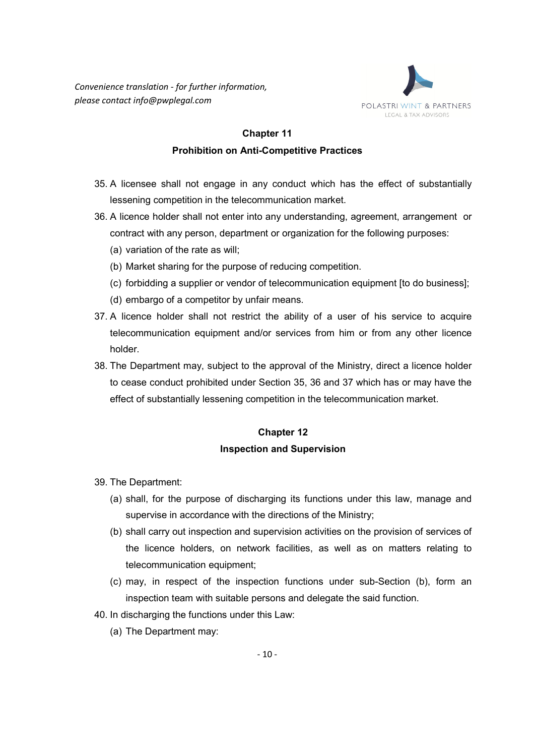

## **Prohibition on Anti-Competitive Practices**

- 35. A licensee shall not engage in any conduct which has the effect of substantially lessening competition in the telecommunication market.
- 36. A licence holder shall not enter into any understanding, agreement, arrangement or contract with any person, department or organization for the following purposes:
	- (a) variation of the rate as will;
	- (b) Market sharing for the purpose of reducing competition.
	- (c) forbidding a supplier or vendor of telecommunication equipment [to do business];
	- (d) embargo of a competitor by unfair means.
- 37. A licence holder shall not restrict the ability of a user of his service to acquire telecommunication equipment and/or services from him or from any other licence holder.
- 38. The Department may, subject to the approval of the Ministry, direct a licence holder to cease conduct prohibited under Section 35, 36 and 37 which has or may have the effect of substantially lessening competition in the telecommunication market.

## **Chapter 12 Inspection and Supervision**

- 39. The Department:
	- (a) shall, for the purpose of discharging its functions under this law, manage and supervise in accordance with the directions of the Ministry;
	- (b) shall carry out inspection and supervision activities on the provision of services of the licence holders, on network facilities, as well as on matters relating to telecommunication equipment;
	- (c) may, in respect of the inspection functions under sub-Section (b), form an inspection team with suitable persons and delegate the said function.
- 40. In discharging the functions under this Law:
	- (a) The Department may: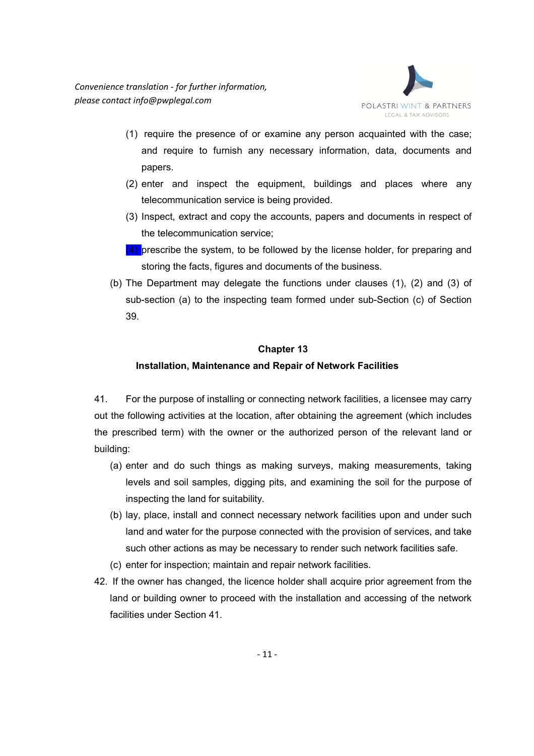

- (1) require the presence of or examine any person acquainted with the case; and require to furnish any necessary information, data, documents and papers.
- (2) enter and inspect the equipment, buildings and places where any telecommunication service is being provided.
- (3) Inspect, extract and copy the accounts, papers and documents in respect of the telecommunication service;
- $(4)$  prescribe the system, to be followed by the license holder, for preparing and storing the facts, figures and documents of the business.
- (b) The Department may delegate the functions under clauses (1), (2) and (3) of sub-section (a) to the inspecting team formed under sub-Section (c) of Section 39.

## **Installation, Maintenance and Repair of Network Facilities**

41. For the purpose of installing or connecting network facilities, a licensee may carry out the following activities at the location, after obtaining the agreement (which includes the prescribed term) with the owner or the authorized person of the relevant land or building:

- (a) enter and do such things as making surveys, making measurements, taking levels and soil samples, digging pits, and examining the soil for the purpose of inspecting the land for suitability.
- (b) lay, place, install and connect necessary network facilities upon and under such land and water for the purpose connected with the provision of services, and take such other actions as may be necessary to render such network facilities safe.
- (c) enter for inspection; maintain and repair network facilities.
- 42. If the owner has changed, the licence holder shall acquire prior agreement from the land or building owner to proceed with the installation and accessing of the network facilities under Section 41.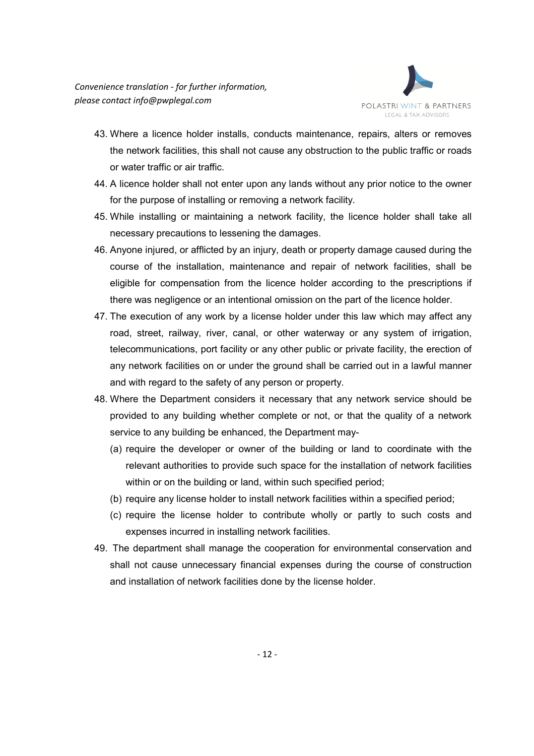

- 43. Where a licence holder installs, conducts maintenance, repairs, alters or removes the network facilities, this shall not cause any obstruction to the public traffic or roads or water traffic or air traffic.
- 44. A licence holder shall not enter upon any lands without any prior notice to the owner for the purpose of installing or removing a network facility.
- 45. While installing or maintaining a network facility, the licence holder shall take all necessary precautions to lessening the damages.
- 46. Anyone injured, or afflicted by an injury, death or property damage caused during the course of the installation, maintenance and repair of network facilities, shall be eligible for compensation from the licence holder according to the prescriptions if there was negligence or an intentional omission on the part of the licence holder.
- 47. The execution of any work by a license holder under this law which may affect any road, street, railway, river, canal, or other waterway or any system of irrigation, telecommunications, port facility or any other public or private facility, the erection of any network facilities on or under the ground shall be carried out in a lawful manner and with regard to the safety of any person or property.
- 48. Where the Department considers it necessary that any network service should be provided to any building whether complete or not, or that the quality of a network service to any building be enhanced, the Department may-
	- (a) require the developer or owner of the building or land to coordinate with the relevant authorities to provide such space for the installation of network facilities within or on the building or land, within such specified period;
	- (b) require any license holder to install network facilities within a specified period;
	- (c) require the license holder to contribute wholly or partly to such costs and expenses incurred in installing network facilities.
- 49. The department shall manage the cooperation for environmental conservation and shall not cause unnecessary financial expenses during the course of construction and installation of network facilities done by the license holder.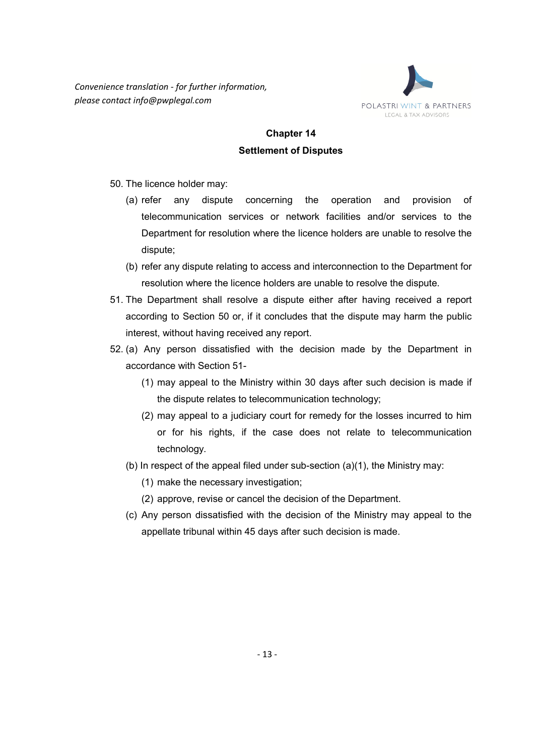

# **Chapter 14 Settlement of Disputes**

- 50. The licence holder may:
	- (a) refer any dispute concerning the operation and provision of telecommunication services or network facilities and/or services to the Department for resolution where the licence holders are unable to resolve the dispute;
	- (b) refer any dispute relating to access and interconnection to the Department for resolution where the licence holders are unable to resolve the dispute.
- 51. The Department shall resolve a dispute either after having received a report according to Section 50 or, if it concludes that the dispute may harm the public interest, without having received any report.
- 52. (a) Any person dissatisfied with the decision made by the Department in accordance with Section 51-
	- (1) may appeal to the Ministry within 30 days after such decision is made if the dispute relates to telecommunication technology;
	- (2) may appeal to a judiciary court for remedy for the losses incurred to him or for his rights, if the case does not relate to telecommunication technology.
	- (b) In respect of the appeal filed under sub-section (a)(1), the Ministry may:
		- (1) make the necessary investigation;
		- (2) approve, revise or cancel the decision of the Department.
	- (c) Any person dissatisfied with the decision of the Ministry may appeal to the appellate tribunal within 45 days after such decision is made.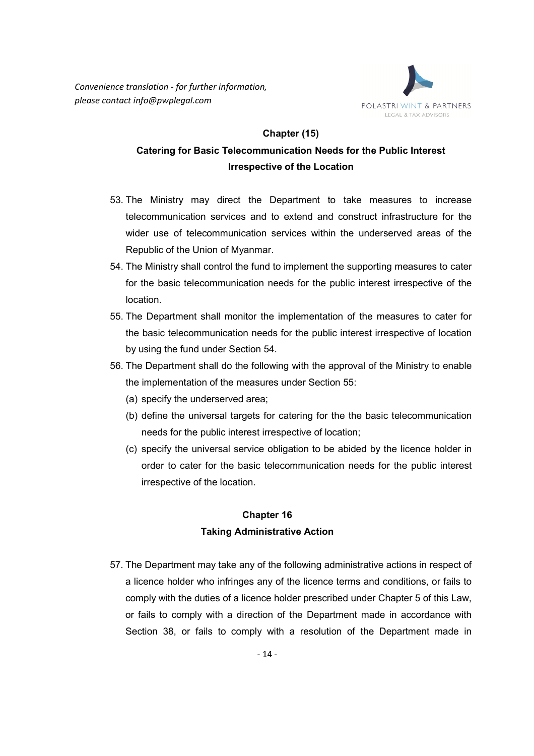*Convenience translation - for further information, please contact info@pwplegal.com* 



#### **Chapter (15)**

# **Catering for Basic Telecommunication Needs for the Public Interest Irrespective of the Location**

- 53. The Ministry may direct the Department to take measures to increase telecommunication services and to extend and construct infrastructure for the wider use of telecommunication services within the underserved areas of the Republic of the Union of Myanmar.
- 54. The Ministry shall control the fund to implement the supporting measures to cater for the basic telecommunication needs for the public interest irrespective of the location.
- 55. The Department shall monitor the implementation of the measures to cater for the basic telecommunication needs for the public interest irrespective of location by using the fund under Section 54.
- 56. The Department shall do the following with the approval of the Ministry to enable the implementation of the measures under Section 55:
	- (a) specify the underserved area;
	- (b) define the universal targets for catering for the the basic telecommunication needs for the public interest irrespective of location;
	- (c) specify the universal service obligation to be abided by the licence holder in order to cater for the basic telecommunication needs for the public interest irrespective of the location.

## **Chapter 16 Taking Administrative Action**

57. The Department may take any of the following administrative actions in respect of a licence holder who infringes any of the licence terms and conditions, or fails to comply with the duties of a licence holder prescribed under Chapter 5 of this Law, or fails to comply with a direction of the Department made in accordance with Section 38, or fails to comply with a resolution of the Department made in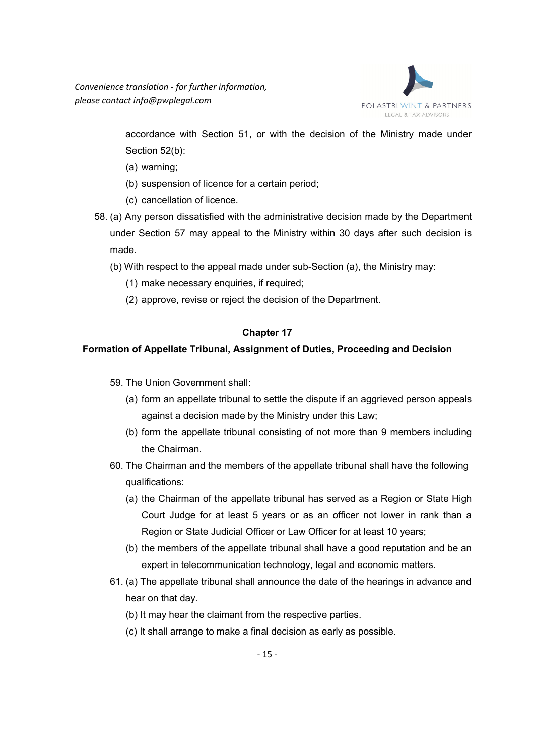

accordance with Section 51, or with the decision of the Ministry made under Section 52(b):

- (a) warning;
- (b) suspension of licence for a certain period;
- (c) cancellation of licence.
- 58. (a) Any person dissatisfied with the administrative decision made by the Department under Section 57 may appeal to the Ministry within 30 days after such decision is made.
	- (b) With respect to the appeal made under sub-Section (a), the Ministry may:
		- (1) make necessary enquiries, if required;
		- (2) approve, revise or reject the decision of the Department.

#### **Chapter 17**

### **Formation of Appellate Tribunal, Assignment of Duties, Proceeding and Decision**

- 59. The Union Government shall:
	- (a) form an appellate tribunal to settle the dispute if an aggrieved person appeals against a decision made by the Ministry under this Law;
	- (b) form the appellate tribunal consisting of not more than 9 members including the Chairman.
- 60. The Chairman and the members of the appellate tribunal shall have the following qualifications:
	- (a) the Chairman of the appellate tribunal has served as a Region or State High Court Judge for at least 5 years or as an officer not lower in rank than a Region or State Judicial Officer or Law Officer for at least 10 years;
	- (b) the members of the appellate tribunal shall have a good reputation and be an expert in telecommunication technology, legal and economic matters.
- 61. (a) The appellate tribunal shall announce the date of the hearings in advance and hear on that day.
	- (b) It may hear the claimant from the respective parties.
	- (c) It shall arrange to make a final decision as early as possible.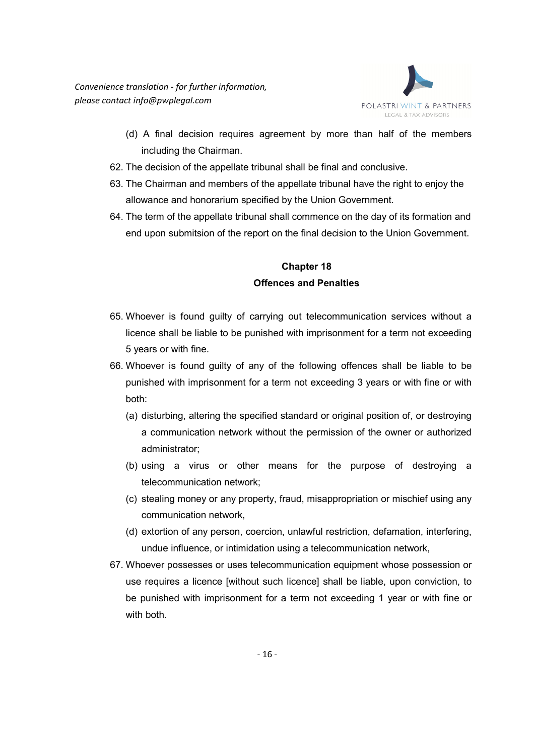

- (d) A final decision requires agreement by more than half of the members including the Chairman.
- 62. The decision of the appellate tribunal shall be final and conclusive.
- 63. The Chairman and members of the appellate tribunal have the right to enjoy the allowance and honorarium specified by the Union Government.
- 64. The term of the appellate tribunal shall commence on the day of its formation and end upon submitsion of the report on the final decision to the Union Government.

## **Chapter 18 Offences and Penalties**

- 65. Whoever is found guilty of carrying out telecommunication services without a licence shall be liable to be punished with imprisonment for a term not exceeding 5 years or with fine.
- 66. Whoever is found guilty of any of the following offences shall be liable to be punished with imprisonment for a term not exceeding 3 years or with fine or with both:
	- (a) disturbing, altering the specified standard or original position of, or destroying a communication network without the permission of the owner or authorized administrator;
	- (b) using a virus or other means for the purpose of destroying a telecommunication network;
	- (c) stealing money or any property, fraud, misappropriation or mischief using any communication network,
	- (d) extortion of any person, coercion, unlawful restriction, defamation, interfering, undue influence, or intimidation using a telecommunication network,
- 67. Whoever possesses or uses telecommunication equipment whose possession or use requires a licence [without such licence] shall be liable, upon conviction, to be punished with imprisonment for a term not exceeding 1 year or with fine or with both.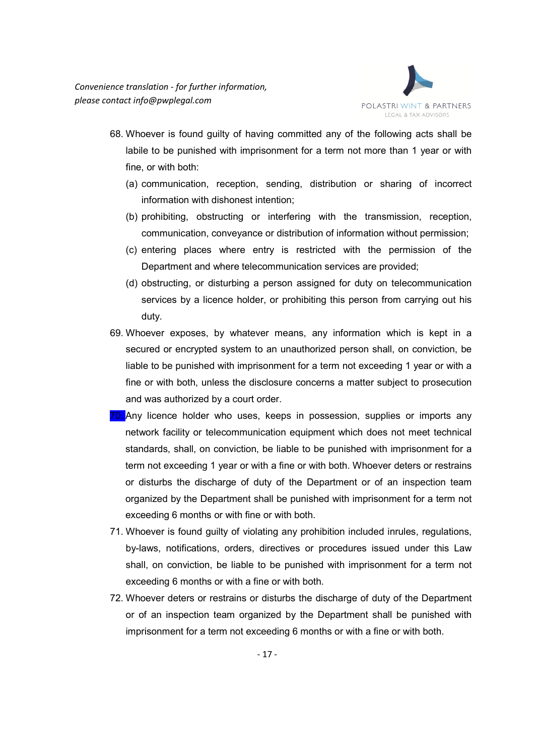

- 68. Whoever is found guilty of having committed any of the following acts shall be labile to be punished with imprisonment for a term not more than 1 year or with fine, or with both:
	- (a) communication, reception, sending, distribution or sharing of incorrect information with dishonest intention;
	- (b) prohibiting, obstructing or interfering with the transmission, reception, communication, conveyance or distribution of information without permission;
	- (c) entering places where entry is restricted with the permission of the Department and where telecommunication services are provided;
	- (d) obstructing, or disturbing a person assigned for duty on telecommunication services by a licence holder, or prohibiting this person from carrying out his duty.
- 69. Whoever exposes, by whatever means, any information which is kept in a secured or encrypted system to an unauthorized person shall, on conviction, be liable to be punished with imprisonment for a term not exceeding 1 year or with a fine or with both, unless the disclosure concerns a matter subject to prosecution and was authorized by a court order.
- 70. Any licence holder who uses, keeps in possession, supplies or imports any network facility or telecommunication equipment which does not meet technical standards, shall, on conviction, be liable to be punished with imprisonment for a term not exceeding 1 year or with a fine or with both. Whoever deters or restrains or disturbs the discharge of duty of the Department or of an inspection team organized by the Department shall be punished with imprisonment for a term not exceeding 6 months or with fine or with both.
- 71. Whoever is found guilty of violating any prohibition included inrules, regulations, by-laws, notifications, orders, directives or procedures issued under this Law shall, on conviction, be liable to be punished with imprisonment for a term not exceeding 6 months or with a fine or with both.
- 72. Whoever deters or restrains or disturbs the discharge of duty of the Department or of an inspection team organized by the Department shall be punished with imprisonment for a term not exceeding 6 months or with a fine or with both.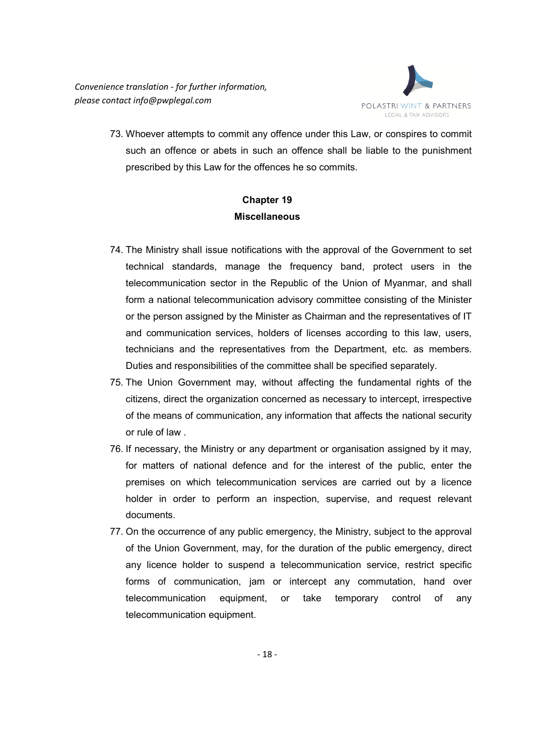

73. Whoever attempts to commit any offence under this Law, or conspires to commit such an offence or abets in such an offence shall be liable to the punishment prescribed by this Law for the offences he so commits.

# **Chapter 19 Miscellaneous**

- 74. The Ministry shall issue notifications with the approval of the Government to set technical standards, manage the frequency band, protect users in the telecommunication sector in the Republic of the Union of Myanmar, and shall form a national telecommunication advisory committee consisting of the Minister or the person assigned by the Minister as Chairman and the representatives of IT and communication services, holders of licenses according to this law, users, technicians and the representatives from the Department, etc. as members. Duties and responsibilities of the committee shall be specified separately.
- 75. The Union Government may, without affecting the fundamental rights of the citizens, direct the organization concerned as necessary to intercept, irrespective of the means of communication, any information that affects the national security or rule of law .
- 76. If necessary, the Ministry or any department or organisation assigned by it may, for matters of national defence and for the interest of the public, enter the premises on which telecommunication services are carried out by a licence holder in order to perform an inspection, supervise, and request relevant documents.
- 77. On the occurrence of any public emergency, the Ministry, subject to the approval of the Union Government, may, for the duration of the public emergency, direct any licence holder to suspend a telecommunication service, restrict specific forms of communication, jam or intercept any commutation, hand over telecommunication equipment, or take temporary control of any telecommunication equipment.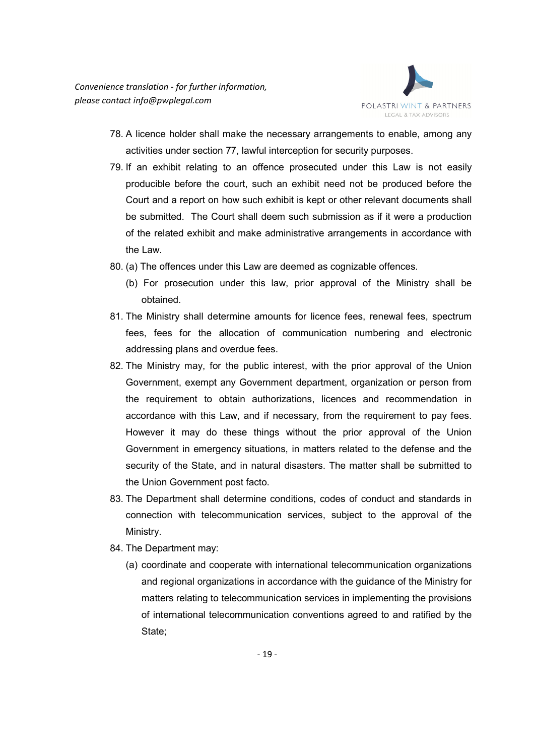

- 78. A licence holder shall make the necessary arrangements to enable, among any activities under section 77, lawful interception for security purposes.
- 79. If an exhibit relating to an offence prosecuted under this Law is not easily producible before the court, such an exhibit need not be produced before the Court and a report on how such exhibit is kept or other relevant documents shall be submitted. The Court shall deem such submission as if it were a production of the related exhibit and make administrative arrangements in accordance with the Law.
- 80. (a) The offences under this Law are deemed as cognizable offences.
	- (b) For prosecution under this law, prior approval of the Ministry shall be obtained.
- 81. The Ministry shall determine amounts for licence fees, renewal fees, spectrum fees, fees for the allocation of communication numbering and electronic addressing plans and overdue fees.
- 82. The Ministry may, for the public interest, with the prior approval of the Union Government, exempt any Government department, organization or person from the requirement to obtain authorizations, licences and recommendation in accordance with this Law, and if necessary, from the requirement to pay fees. However it may do these things without the prior approval of the Union Government in emergency situations, in matters related to the defense and the security of the State, and in natural disasters. The matter shall be submitted to the Union Government post facto.
- 83. The Department shall determine conditions, codes of conduct and standards in connection with telecommunication services, subject to the approval of the Ministry.
- 84. The Department may:
	- (a) coordinate and cooperate with international telecommunication organizations and regional organizations in accordance with the guidance of the Ministry for matters relating to telecommunication services in implementing the provisions of international telecommunication conventions agreed to and ratified by the State;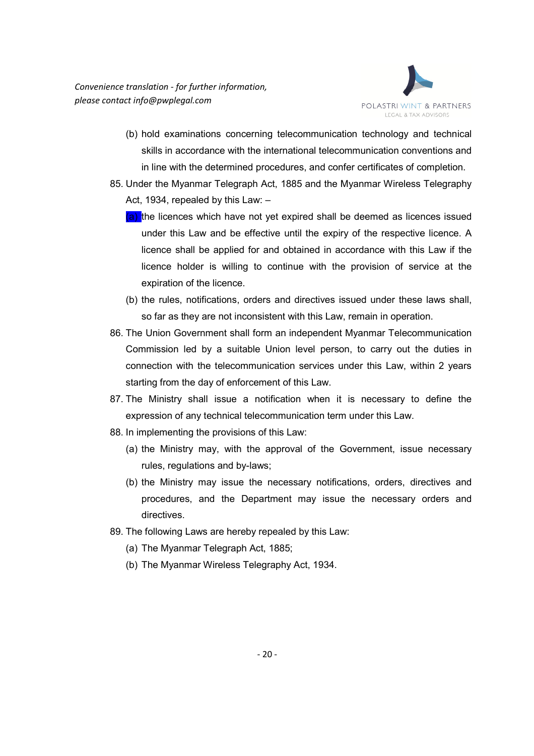

- (b) hold examinations concerning telecommunication technology and technical skills in accordance with the international telecommunication conventions and in line with the determined procedures, and confer certificates of completion.
- 85. Under the Myanmar Telegraph Act, 1885 and the Myanmar Wireless Telegraphy Act, 1934, repealed by this Law: –
	- (a) the licences which have not yet expired shall be deemed as licences issued under this Law and be effective until the expiry of the respective licence. A licence shall be applied for and obtained in accordance with this Law if the licence holder is willing to continue with the provision of service at the expiration of the licence.
	- (b) the rules, notifications, orders and directives issued under these laws shall, so far as they are not inconsistent with this Law, remain in operation.
- 86. The Union Government shall form an independent Myanmar Telecommunication Commission led by a suitable Union level person, to carry out the duties in connection with the telecommunication services under this Law, within 2 years starting from the day of enforcement of this Law.
- 87. The Ministry shall issue a notification when it is necessary to define the expression of any technical telecommunication term under this Law.
- 88. In implementing the provisions of this Law:
	- (a) the Ministry may, with the approval of the Government, issue necessary rules, regulations and by-laws;
	- (b) the Ministry may issue the necessary notifications, orders, directives and procedures, and the Department may issue the necessary orders and directives.
- 89. The following Laws are hereby repealed by this Law:
	- (a) The Myanmar Telegraph Act, 1885;
	- (b) The Myanmar Wireless Telegraphy Act, 1934.